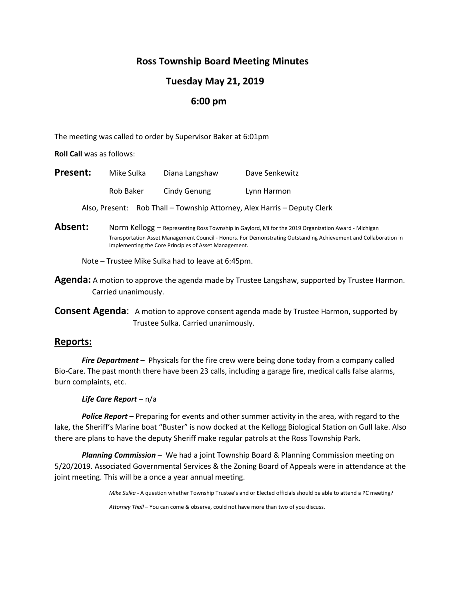# **Ross Township Board Meeting Minutes**

# **Tuesday May 21, 2019**

## **6:00 pm**

The meeting was called to order by Supervisor Baker at 6:01pm

**Roll Call** was as follows:

| <b>Present:</b> | Mike Sulka | Diana Langshaw | Dave Senkewitz                                                           |
|-----------------|------------|----------------|--------------------------------------------------------------------------|
|                 | Rob Baker  | Cindy Genung   | Lynn Harmon                                                              |
|                 |            |                | Also, Present: Rob Thall - Township Attorney, Alex Harris - Deputy Clerk |

Absent: Norm Kellogg – Representing Ross Township in Gaylord, MI for the 2019 Organization Award - Michigan Transportation Asset Management Council - Honors. For Demonstrating Outstanding Achievement and Collaboration in Implementing the Core Principles of Asset Management.

Note – Trustee Mike Sulka had to leave at 6:45pm.

**Agenda:** A motion to approve the agenda made by Trustee Langshaw, supported by Trustee Harmon. Carried unanimously.

**Consent Agenda**: A motion to approve consent agenda made by Trustee Harmon, supported by Trustee Sulka. Carried unanimously.

## **Reports:**

*Fire Department* – Physicals for the fire crew were being done today from a company called Bio-Care. The past month there have been 23 calls, including a garage fire, medical calls false alarms, burn complaints, etc.

#### *Life Care Report* – n/a

*Police Report* – Preparing for events and other summer activity in the area, with regard to the lake, the Sheriff's Marine boat "Buster" is now docked at the Kellogg Biological Station on Gull lake. Also there are plans to have the deputy Sheriff make regular patrols at the Ross Township Park.

*Planning Commission* – We had a joint Township Board & Planning Commission meeting on 5/20/2019. Associated Governmental Services & the Zoning Board of Appeals were in attendance at the joint meeting. This will be a once a year annual meeting.

*Mike Sulka* - A question whether Township Trustee's and or Elected officials should be able to attend a PC meeting?

*Attorney Thall* – You can come & observe, could not have more than two of you discuss.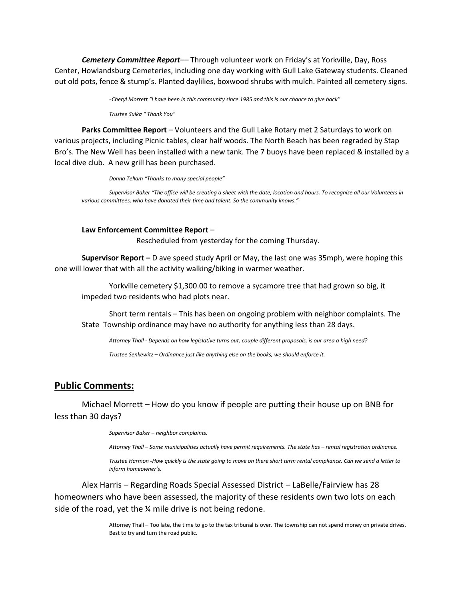*Cemetery Committee Report*–*–* Through volunteer work on Friday's at Yorkville, Day, Ross Center, Howlandsburg Cemeteries, including one day working with Gull Lake Gateway students. Cleaned out old pots, fence & stump's. Planted daylilies, boxwood shrubs with mulch. Painted all cemetery signs.

*-Cheryl Morrett "I have been in this community since 1985 and this is our chance to give back"*

*Trustee Sulka " Thank You"*

**Parks Committee Report** – Volunteers and the Gull Lake Rotary met 2 Saturdays to work on various projects, including Picnic tables, clear half woods. The North Beach has been regraded by Stap Bro's. The New Well has been installed with a new tank. The 7 buoys have been replaced & installed by a local dive club. A new grill has been purchased.

*Donna Tellam "Thanks to many special people"*

*Supervisor Baker "The office will be creating a sheet with the date, location and hours. To recognize all our Volunteers in various committees, who have donated their time and talent. So the community knows."*

#### **Law Enforcement Committee Report** –

Rescheduled from yesterday for the coming Thursday.

**Supervisor Report –** D ave speed study April or May, the last one was 35mph, were hoping this one will lower that with all the activity walking/biking in warmer weather.

Yorkville cemetery \$1,300.00 to remove a sycamore tree that had grown so big, it impeded two residents who had plots near.

Short term rentals – This has been on ongoing problem with neighbor complaints. The State Township ordinance may have no authority for anything less than 28 days.

*Attorney Thall - Depends on how legislative turns out, couple different proposals, is our area a high need?*

*Trustee Senkewitz – Ordinance just like anything else on the books, we should enforce it.*

### **Public Comments:**

Michael Morrett – How do you know if people are putting their house up on BNB for less than 30 days?

*Supervisor Baker – neighbor complaints.* 

*Attorney Thall – Some municipalities actually have permit requirements. The state has – rental registration ordinance.*

*Trustee Harmon -How quickly is the state going to move on there short term rental compliance. Can we send a letter to inform homeowner's.*

Alex Harris – Regarding Roads Special Assessed District – LaBelle/Fairview has 28 homeowners who have been assessed, the majority of these residents own two lots on each side of the road, yet the % mile drive is not being redone.

> Attorney Thall – Too late, the time to go to the tax tribunal is over. The township can not spend money on private drives. Best to try and turn the road public.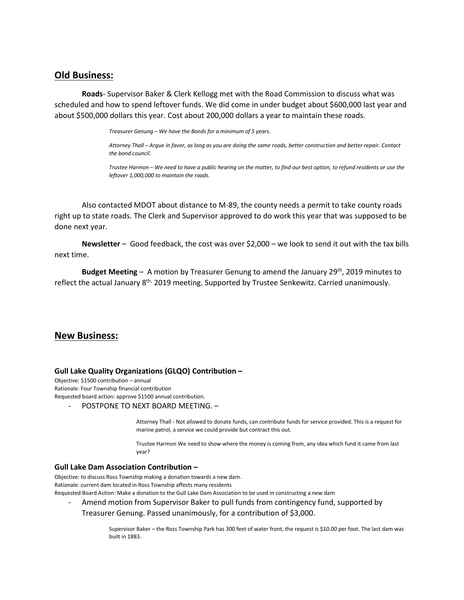### **Old Business:**

**Roads**- Supervisor Baker & Clerk Kellogg met with the Road Commission to discuss what was scheduled and how to spend leftover funds. We did come in under budget about \$600,000 last year and about \$500,000 dollars this year. Cost about 200,000 dollars a year to maintain these roads.

*Treasurer Genung – We have the Bonds for a minimum of 5 years.* 

*Attorney Thall – Argue in favor, as long as you are doing the same roads, better construction and better repair. Contact the bond council.*

*Trustee Harmon – We need to have a public hearing on the matter, to find our best option, to refund residents or use the leftover 1,000,000 to maintain the roads.* 

Also contacted MDOT about distance to M-89, the county needs a permit to take county roads right up to state roads. The Clerk and Supervisor approved to do work this year that was supposed to be done next year.

**Newsletter** – Good feedback, the cost was over \$2,000 – we look to send it out with the tax bills next time.

**Budget Meeting** – A motion by Treasurer Genung to amend the January 29th, 2019 minutes to reflect the actual January 8<sup>th,</sup> 2019 meeting. Supported by Trustee Senkewitz. Carried unanimously.

#### **New Business:**

#### **Gull Lake Quality Organizations (GLQO) Contribution –**

Objective: \$1500 contribution – annual Rationale: Four Township financial contribution Requested board action: approve \$1500 annual contribution.

- POSTPONE TO NEXT BOARD MEETING. –

Attorney Thall - Not allowed to donate funds, can contribute funds for service provided. This is a request for marine patrol, a service we could provide but contract this out.

Trustee Harmon We need to show where the money is coming from, any idea which fund it came from last year?

#### **Gull Lake Dam Association Contribution –**

Objective: to discuss Ross Township making a donation towards a new dam. Rationale: current dam located in Ross Township affects many residents Requested Board Action: Make a donation to the Gull Lake Dam Association to be used in constructing a new dam

Amend motion from Supervisor Baker to pull funds from contingency fund, supported by Treasurer Genung. Passed unanimously, for a contribution of \$3,000.

> Supervisor Baker – the Ross Township Park has 300 feet of water front, the request is \$10.00 per foot. The last dam was built in 1883.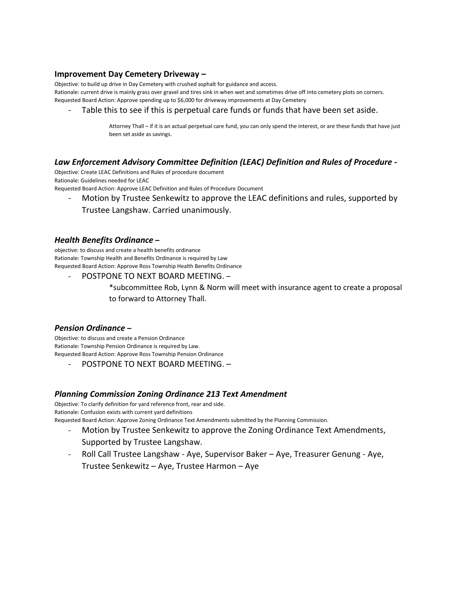#### **Improvement Day Cemetery Driveway –**

Objective: to build up drive in Day Cemetery with crushed asphalt for guidance and access.

Rationale: current drive is mainly grass over gravel and tires sink in when wet and sometimes drive off into cemetery plots on corners. Requested Board Action: Approve spending up to \$6,000 for driveway improvements at Day Cemetery

Table this to see if this is perpetual care funds or funds that have been set aside.

Attorney Thall – if it is an actual perpetual care fund, you can only spend the interest, or are these funds that have just been set aside as savings.

#### *Law Enforcement Advisory Committee Definition (LEAC) Definition and Rules of Procedure -*

Objective: Create LEAC Definitions and Rules of procedure document Rationale: Guidelines needed for LEAC Requested Board Action: Approve LEAC Definition and Rules of Procedure Document

Motion by Trustee Senkewitz to approve the LEAC definitions and rules, supported by Trustee Langshaw. Carried unanimously.

#### *Health Benefits Ordinance* **–**

objective: to discuss and create a health benefits ordinance Rationale: Township Health and Benefits Ordinance is required by Law Requested Board Action: Approve Ross Township Health Benefits Ordinance

- POSTPONE TO NEXT BOARD MEETING. – \*subcommittee Rob, Lynn & Norm will meet with insurance agent to create a proposal to forward to Attorney Thall.

#### *Pension Ordinance –*

Objective: to discuss and create a Pension Ordinance Rationale: Township Pension Ordinance is required by Law. Requested Board Action: Approve Ross Township Pension Ordinance

- POSTPONE TO NEXT BOARD MEETING. –

### *Planning Commission Zoning Ordinance 213 Text Amendment*

Objective: To clarify definition for yard reference front, rear and side. Rationale: Confusion exists with current yard definitions

Requested Board Action: Approve Zoning Ordinance Text Amendments submitted by the Planning Commission.

- Motion by Trustee Senkewitz to approve the Zoning Ordinance Text Amendments, Supported by Trustee Langshaw.
- Roll Call Trustee Langshaw Aye, Supervisor Baker Aye, Treasurer Genung Aye, Trustee Senkewitz – Aye, Trustee Harmon – Aye